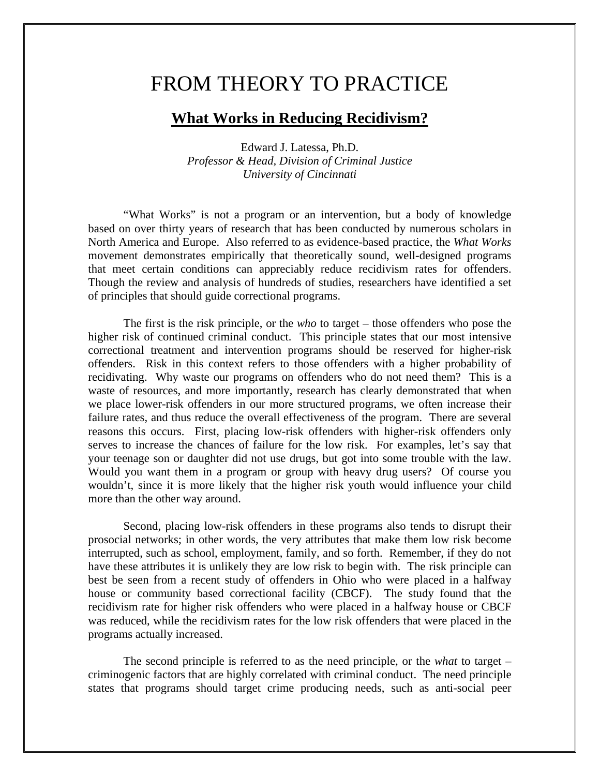## FROM THEORY TO PRACTICE

## **What Works in Reducing Recidivism?**

Edward J. Latessa, Ph.D. *Professor & Head, Division of Criminal Justice University of Cincinnati*

"What Works" is not a program or an intervention, but a body of knowledge based on over thirty years of research that has been conducted by numerous scholars in North America and Europe. Also referred to as evidence-based practice, the *What Works* movement demonstrates empirically that theoretically sound, well-designed programs that meet certain conditions can appreciably reduce recidivism rates for offenders. Though the review and analysis of hundreds of studies, researchers have identified a set of principles that should guide correctional programs.

The first is the risk principle, or the *who* to target – those offenders who pose the higher risk of continued criminal conduct. This principle states that our most intensive correctional treatment and intervention programs should be reserved for higher-risk offenders. Risk in this context refers to those offenders with a higher probability of recidivating. Why waste our programs on offenders who do not need them? This is a waste of resources, and more importantly, research has clearly demonstrated that when we place lower-risk offenders in our more structured programs, we often increase their failure rates, and thus reduce the overall effectiveness of the program. There are several reasons this occurs. First, placing low-risk offenders with higher-risk offenders only serves to increase the chances of failure for the low risk. For examples, let's say that your teenage son or daughter did not use drugs, but got into some trouble with the law. Would you want them in a program or group with heavy drug users? Of course you wouldn't, since it is more likely that the higher risk youth would influence your child more than the other way around.

Second, placing low-risk offenders in these programs also tends to disrupt their prosocial networks; in other words, the very attributes that make them low risk become interrupted, such as school, employment, family, and so forth. Remember, if they do not have these attributes it is unlikely they are low risk to begin with. The risk principle can best be seen from a recent study of offenders in Ohio who were placed in a halfway house or community based correctional facility (CBCF). The study found that the recidivism rate for higher risk offenders who were placed in a halfway house or CBCF was reduced, while the recidivism rates for the low risk offenders that were placed in the programs actually increased.

The second principle is referred to as the need principle, or the *what* to target – criminogenic factors that are highly correlated with criminal conduct. The need principle states that programs should target crime producing needs, such as anti-social peer